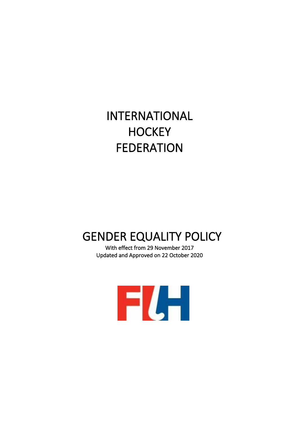# INTERNATIONAL **HOCKEY** FEDERATION

# GENDER EQUALITY POLICY

With effect from 29 November 2017 Updated and Approved on 22 October 2020

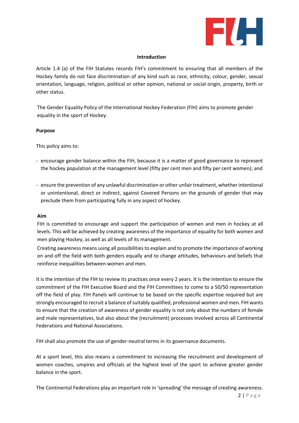

#### **Introduction**

Article 1.4 (a) of the FIH Statutes records FIH's commitment to ensuring that all members of the Hockey family do not face discrimination of any kind such as race, ethnicity, colour, gender, sexual orientation, language, religion, political or other opinion, national or social origin, property, birth or other status.

The Gender Equality Policy of the International Hockey Federation (FIH) aims to promote gender equality in the sport of Hockey.

# **Purpose**

This policy aims to:

- encourage gender balance within the FIH, because it is a matter of good governance to represent the hockey population at the management level (fifty per cent men and fifty per cent women); and
- ensure the prevention of any unlawful discrimination or other unfair treatment, whether intentional or unintentional, direct or indirect, against Covered Persons on the grounds of gender that may preclude them from participating fully in any aspect of hockey.

#### **Aim**

FIH is committed to encourage and support the participation of women and men in hockey at all levels. This will be achieved by creating awareness of the importance of equality for both women and men playing Hockey, as well as all levels of its management.

Creating awareness means using all possibilities to explain and to promote the importance of working on and off the field with both genders equally and to change attitudes, behaviours and beliefs that reinforce inequalities between women and men.

It is the intention of the FIH to review its practices once every 2 years. It is the intention to ensure the commitment of the FIH Executive Board and the FIH Committees to come to a 50/50 representation off the field of play. FIH Panels will continue to be based on the specific expertise required but are strongly encouraged to recruit a balance of suitably qualified, professional women and men. FIH wants to ensure that the creation of awareness of gender equality is not only about the numbers of female and male representatives, but also about the (recruitment) processes involved across all Continental Federations and National Associations.

FIH shall also promote the use of gender-neutral terms in its governance documents.

At a sport level, this also means a commitment to increasing the recruitment and development of women coaches, umpires and officials at the highest level of the sport to achieve greater gender balance in the sport.

The Continental Federations play an important role in 'spreading' the message of creating awareness.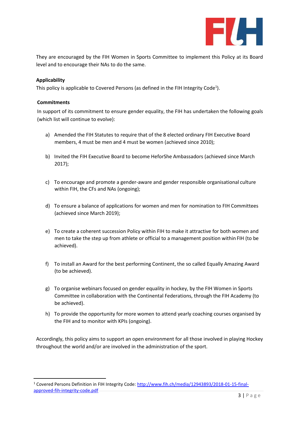

They are encouraged by the FIH Women in Sports Committee to implement this Policy at its Board level and to encourage their NAs to do the same.

# **Applicability**

This policy is applicable to Covered Persons (as defined in the FIH Integrity Code<sup>1</sup>).

#### **Commitments**

In support of its commitment to ensure gender equality, the FIH has undertaken the following goals (which list will continue to evolve):

- a) Amended the FIH Statutes to require that of the 8 elected ordinary FIH Executive Board members, 4 must be men and 4 must be women (achieved since 2010);
- b) Invited the FIH Executive Board to become HeforShe Ambassadors (achieved since March 2017);
- c) To encourage and promote a gender-aware and gender responsible organisational culture within FIH, the CFs and NAs (ongoing);
- d) To ensure a balance of applications for women and men for nomination to FIH Committees (achieved since March 2019);
- e) To create a coherent succession Policy within FIH to make it attractive for both women and men to take the step up from athlete or official to a management position within FIH (to be achieved).
- f) To install an Award for the best performing Continent, the so called Equally Amazing Award (to be achieved).
- g) To organise webinars focused on gender equality in hockey, by the FIH Women in Sports Committee in collaboration with the Continental Federations, through the FIH Academy (to be achieved).
- h) To provide the opportunity for more women to attend yearly coaching courses organised by the FIH and to monitor with KPIs (ongoing).

Accordingly, this policy aims to support an open environment for all those involved in playing Hockey throughout the world and/or are involved in the administration of the sport.

<sup>1</sup> Covered Persons Definition in FIH Integrity Code: [http://www.fih.ch/media/12943893/2018-01-15-final](http://www.fih.ch/media/12943893/2018-01-15-final-approved-fih-integrity-code.pdf)[approved-fih-integrity-code.pdf](http://www.fih.ch/media/12943893/2018-01-15-final-approved-fih-integrity-code.pdf)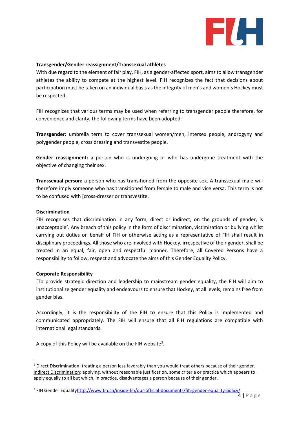

#### **Transgender/Gender reassignment/Transsexual athletes**

With due regard to the element of fair play, FIH, as a gender-affected sport, aims to allow transgender athletes the ability to compete at the highest level. FIH recognizes the fact that decisions about participation must be taken on an individual basis as the integrity of men's and women's Hockey must be respected.

FIH recognizes that various terms may be used when referring to transgender people therefore, for convenience and clarity, the following terms have been adopted:

**Transgender**: umbrella term to cover transsexual women/men, intersex people, androgyny and polygender people, cross dressing and transvestite people.

**Gender reassignment:** a person who is undergoing or who has undergone treatment with the objective of changing their sex.

**Transsexual person:** a person who has transitioned from the opposite sex. A transsexual male will therefore imply someone who has transitioned from female to male and vice versa. This term is not to be confused with [cross-dresser or transvestite.

# **Discrimination**

FIH recognises that discrimination in any form, direct or indirect, on the grounds of gender, is unacceptable<sup>2</sup>. Any breach of this policy in the form of discrimination, victimization or bullying whilst carrying out duties on behalf of FIH or otherwise acting as a representative of FIH shall result in disciplinary proceedings. All those who are involved with Hockey, irrespective of their gender, shall be treated in an equal, fair, open and respectful manner. Therefore, all Covered Persons have a responsibility to follow, respect and advocate the aims of this Gender Equality Policy.

#### **Corporate Responsibility**

[To provide strategic direction and leadership to mainstream gender equality, the FIH will aim to institutionalize gender equality and endeavours to ensure that Hockey, at all levels, remains free from gender bias.

Accordingly, it is the responsibility of the FIH to ensure that this Policy is implemented and communicated appropriately. The FIH will ensure that all FIH regulations are compatible with international legal standards.

A copy of this Policy will be available on the FIH website<sup>3</sup>.

 $<sup>2</sup>$  Direct Discrimination: treating a person less favorably than you would treat others because of their gender.</sup> Indirect Discrimination: applying, without reasonable justification, some criteria or practice which appears to apply equally to all but which, in practice, disadvantages a person because of their gender.

<sup>&</sup>lt;sup>3</sup> FIH Gender Equalit[yhttp://www.fih.ch/inside-fih/our-official-documents/fih-gender-equality-policy/](http://www.fih.ch/inside-fih/our-official-documents/fih-gender-equality-policy/)